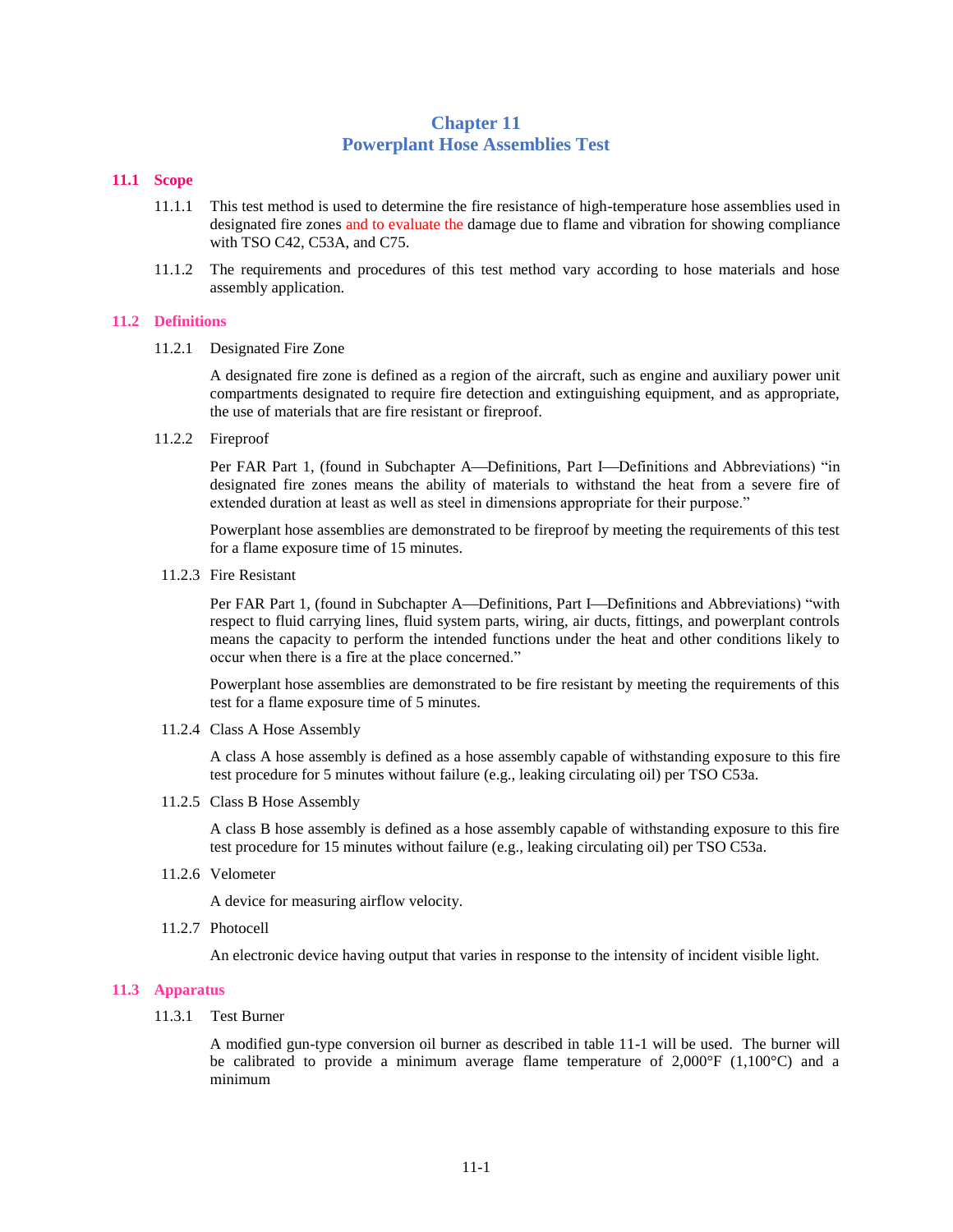# **Chapter 11 Powerplant Hose Assemblies Test**

## **11.1 Scope**

- 11.1.1 This test method is used to determine the fire resistance of high-temperature hose assemblies used in designated fire zones and to evaluate the damage due to flame and vibration for showing compliance with TSO C42, C53A, and C75.
- 11.1.2 The requirements and procedures of this test method vary according to hose materials and hose assembly application.

## **11.2 Definitions**

11.2.1 Designated Fire Zone

A designated fire zone is defined as a region of the aircraft, such as engine and auxiliary power unit compartments designated to require fire detection and extinguishing equipment, and as appropriate, the use of materials that are fire resistant or fireproof.

11.2.2 Fireproof

Per FAR Part 1, (found in Subchapter A—Definitions, Part I—Definitions and Abbreviations) "in designated fire zones means the ability of materials to withstand the heat from a severe fire of extended duration at least as well as steel in dimensions appropriate for their purpose."

Powerplant hose assemblies are demonstrated to be fireproof by meeting the requirements of this test for a flame exposure time of 15 minutes.

11.2.3 Fire Resistant

Per FAR Part 1, (found in Subchapter A—Definitions, Part I—Definitions and Abbreviations) "with respect to fluid carrying lines, fluid system parts, wiring, air ducts, fittings, and powerplant controls means the capacity to perform the intended functions under the heat and other conditions likely to occur when there is a fire at the place concerned."

Powerplant hose assemblies are demonstrated to be fire resistant by meeting the requirements of this test for a flame exposure time of 5 minutes.

11.2.4 Class A Hose Assembly

A class A hose assembly is defined as a hose assembly capable of withstanding exposure to this fire test procedure for 5 minutes without failure (e.g., leaking circulating oil) per TSO C53a.

11.2.5 Class B Hose Assembly

A class B hose assembly is defined as a hose assembly capable of withstanding exposure to this fire test procedure for 15 minutes without failure (e.g., leaking circulating oil) per TSO C53a.

11.2.6 Velometer

A device for measuring airflow velocity.

11.2.7 Photocell

An electronic device having output that varies in response to the intensity of incident visible light.

## **11.3 Apparatus**

11.3.1 Test Burner

A modified gun-type conversion oil burner as described in table 11-1 will be used. The burner will be calibrated to provide a minimum average flame temperature of  $2,000^{\circ}F$  (1,100 $^{\circ}C$ ) and a minimum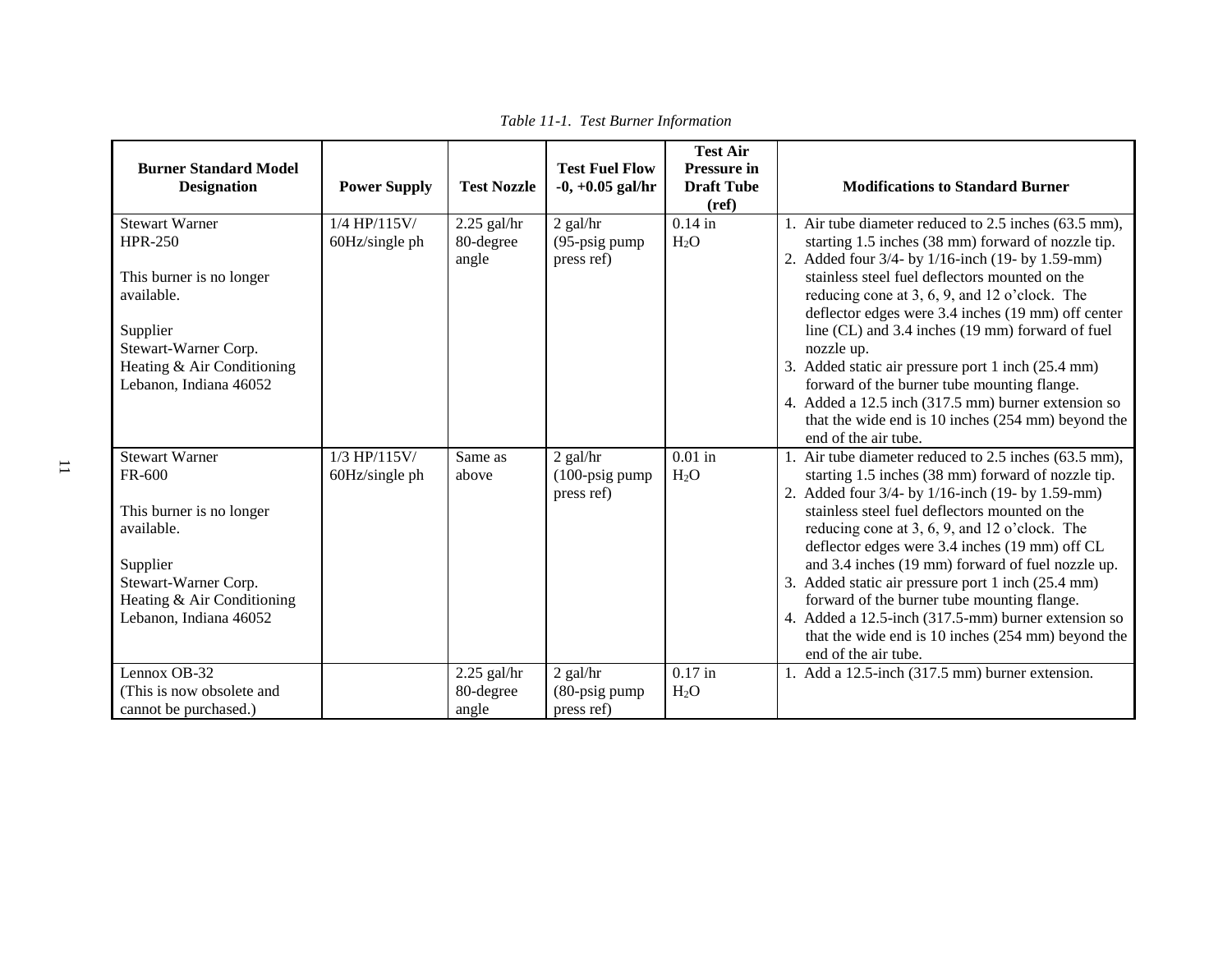| <b>Burner Standard Model</b><br><b>Designation</b>                                                                                                                            | <b>Power Supply</b>              | <b>Test Nozzle</b>                  | <b>Test Fuel Flow</b><br>$-0, +0.05$ gal/hr         | <b>Test Air</b><br><b>Pressure in</b><br><b>Draft Tube</b><br>(ref) | <b>Modifications to Standard Burner</b>                                                                                                                                                                                                                                                                                                                                                                                                                                                                                                                                                                                              |
|-------------------------------------------------------------------------------------------------------------------------------------------------------------------------------|----------------------------------|-------------------------------------|-----------------------------------------------------|---------------------------------------------------------------------|--------------------------------------------------------------------------------------------------------------------------------------------------------------------------------------------------------------------------------------------------------------------------------------------------------------------------------------------------------------------------------------------------------------------------------------------------------------------------------------------------------------------------------------------------------------------------------------------------------------------------------------|
| <b>Stewart Warner</b><br><b>HPR-250</b><br>This burner is no longer<br>available.<br>Supplier<br>Stewart-Warner Corp.<br>Heating & Air Conditioning<br>Lebanon, Indiana 46052 | $1/4$ HP/115V/<br>60Hz/single ph | $2.25$ gal/hr<br>80-degree<br>angle | $2$ gal/hr<br>$(95-psig pump)$<br>press ref)        | $0.14$ in<br>$H_2O$                                                 | 1. Air tube diameter reduced to 2.5 inches (63.5 mm),<br>starting 1.5 inches (38 mm) forward of nozzle tip.<br>2. Added four 3/4- by 1/16-inch (19- by 1.59-mm)<br>stainless steel fuel deflectors mounted on the<br>reducing cone at 3, 6, 9, and 12 o'clock. The<br>deflector edges were 3.4 inches (19 mm) off center<br>line (CL) and 3.4 inches (19 mm) forward of fuel<br>nozzle up.<br>3. Added static air pressure port 1 inch (25.4 mm)<br>forward of the burner tube mounting flange.<br>4. Added a 12.5 inch (317.5 mm) burner extension so<br>that the wide end is 10 inches (254 mm) beyond the<br>end of the air tube. |
| <b>Stewart Warner</b><br>FR-600<br>This burner is no longer<br>available.<br>Supplier<br>Stewart-Warner Corp.<br>Heating & Air Conditioning<br>Lebanon, Indiana 46052         | $1/3$ HP/115V/<br>60Hz/single ph | Same as<br>above                    | $2$ gal/hr<br>$(100\text{-}psig$ pump<br>press ref) | $0.01$ in<br>$H_2O$                                                 | 1. Air tube diameter reduced to 2.5 inches (63.5 mm),<br>starting 1.5 inches (38 mm) forward of nozzle tip.<br>2. Added four 3/4- by 1/16-inch (19- by 1.59-mm)<br>stainless steel fuel deflectors mounted on the<br>reducing cone at 3, 6, 9, and 12 o'clock. The<br>deflector edges were 3.4 inches (19 mm) off CL<br>and 3.4 inches (19 mm) forward of fuel nozzle up.<br>Added static air pressure port 1 inch (25.4 mm)<br>forward of the burner tube mounting flange.<br>4. Added a 12.5-inch (317.5-mm) burner extension so<br>that the wide end is 10 inches (254 mm) beyond the<br>end of the air tube.                     |
| Lennox OB-32<br>(This is now obsolete and<br>cannot be purchased.)                                                                                                            |                                  | $2.25$ gal/hr<br>80-degree<br>angle | 2 gal/hr<br>$(80$ -psig pump<br>press ref)          | $0.17$ in<br>$H_2O$                                                 | 1. Add a 12.5-inch (317.5 mm) burner extension.                                                                                                                                                                                                                                                                                                                                                                                                                                                                                                                                                                                      |

*Table 11-1. Test Burner Information*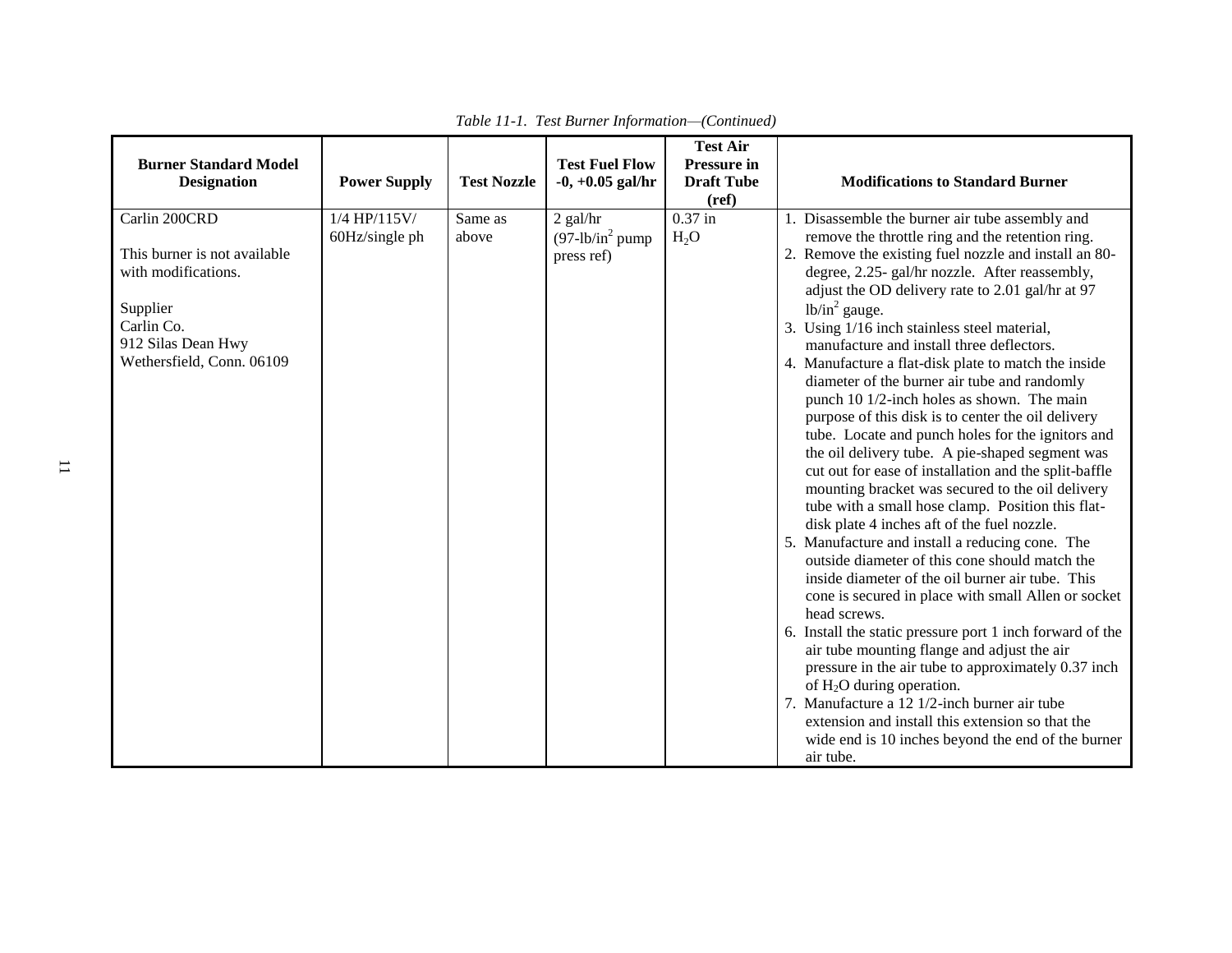| <b>Burner Standard Model</b><br><b>Designation</b>                                                                                                | <b>Power Supply</b>            | <b>Test Nozzle</b> | <b>Test Fuel Flow</b><br>$-0, +0.05$ gal/hr   | <b>Test Air</b><br><b>Pressure in</b><br><b>Draft Tube</b> | <b>Modifications to Standard Burner</b>                                                                                                                                                                                                                                                                                                                                                                                                                                                                                                                                                                                                                                                                                                                                                                                                                                                                                                                                                                                                                                                                                                                                                                                                                                                                                                                                                                                                                                                                           |
|---------------------------------------------------------------------------------------------------------------------------------------------------|--------------------------------|--------------------|-----------------------------------------------|------------------------------------------------------------|-------------------------------------------------------------------------------------------------------------------------------------------------------------------------------------------------------------------------------------------------------------------------------------------------------------------------------------------------------------------------------------------------------------------------------------------------------------------------------------------------------------------------------------------------------------------------------------------------------------------------------------------------------------------------------------------------------------------------------------------------------------------------------------------------------------------------------------------------------------------------------------------------------------------------------------------------------------------------------------------------------------------------------------------------------------------------------------------------------------------------------------------------------------------------------------------------------------------------------------------------------------------------------------------------------------------------------------------------------------------------------------------------------------------------------------------------------------------------------------------------------------------|
| Carlin 200CRD<br>This burner is not available<br>with modifications.<br>Supplier<br>Carlin Co.<br>912 Silas Dean Hwy<br>Wethersfield, Conn. 06109 | 1/4 HP/115V/<br>60Hz/single ph | Same as<br>above   | $2$ gal/hr<br>$(97-lb/in2 pump$<br>press ref) | (ref)<br>$0.37$ in<br>H <sub>2</sub> O                     | Disassemble the burner air tube assembly and<br>remove the throttle ring and the retention ring.<br>2. Remove the existing fuel nozzle and install an 80-<br>degree, 2.25- gal/hr nozzle. After reassembly,<br>adjust the OD delivery rate to 2.01 gal/hr at 97<br>$lb/in^2$ gauge.<br>3. Using 1/16 inch stainless steel material,<br>manufacture and install three deflectors.<br>4. Manufacture a flat-disk plate to match the inside<br>diameter of the burner air tube and randomly<br>punch 10 1/2-inch holes as shown. The main<br>purpose of this disk is to center the oil delivery<br>tube. Locate and punch holes for the ignitors and<br>the oil delivery tube. A pie-shaped segment was<br>cut out for ease of installation and the split-baffle<br>mounting bracket was secured to the oil delivery<br>tube with a small hose clamp. Position this flat-<br>disk plate 4 inches aft of the fuel nozzle.<br>5. Manufacture and install a reducing cone. The<br>outside diameter of this cone should match the<br>inside diameter of the oil burner air tube. This<br>cone is secured in place with small Allen or socket<br>head screws.<br>6. Install the static pressure port 1 inch forward of the<br>air tube mounting flange and adjust the air<br>pressure in the air tube to approximately 0.37 inch<br>of $H_2O$ during operation.<br>7. Manufacture a 12 1/2-inch burner air tube<br>extension and install this extension so that the<br>wide end is 10 inches beyond the end of the burner |

|  | Table 11-1. Test Burner Information-(Continued) |  |
|--|-------------------------------------------------|--|
|  |                                                 |  |
|  |                                                 |  |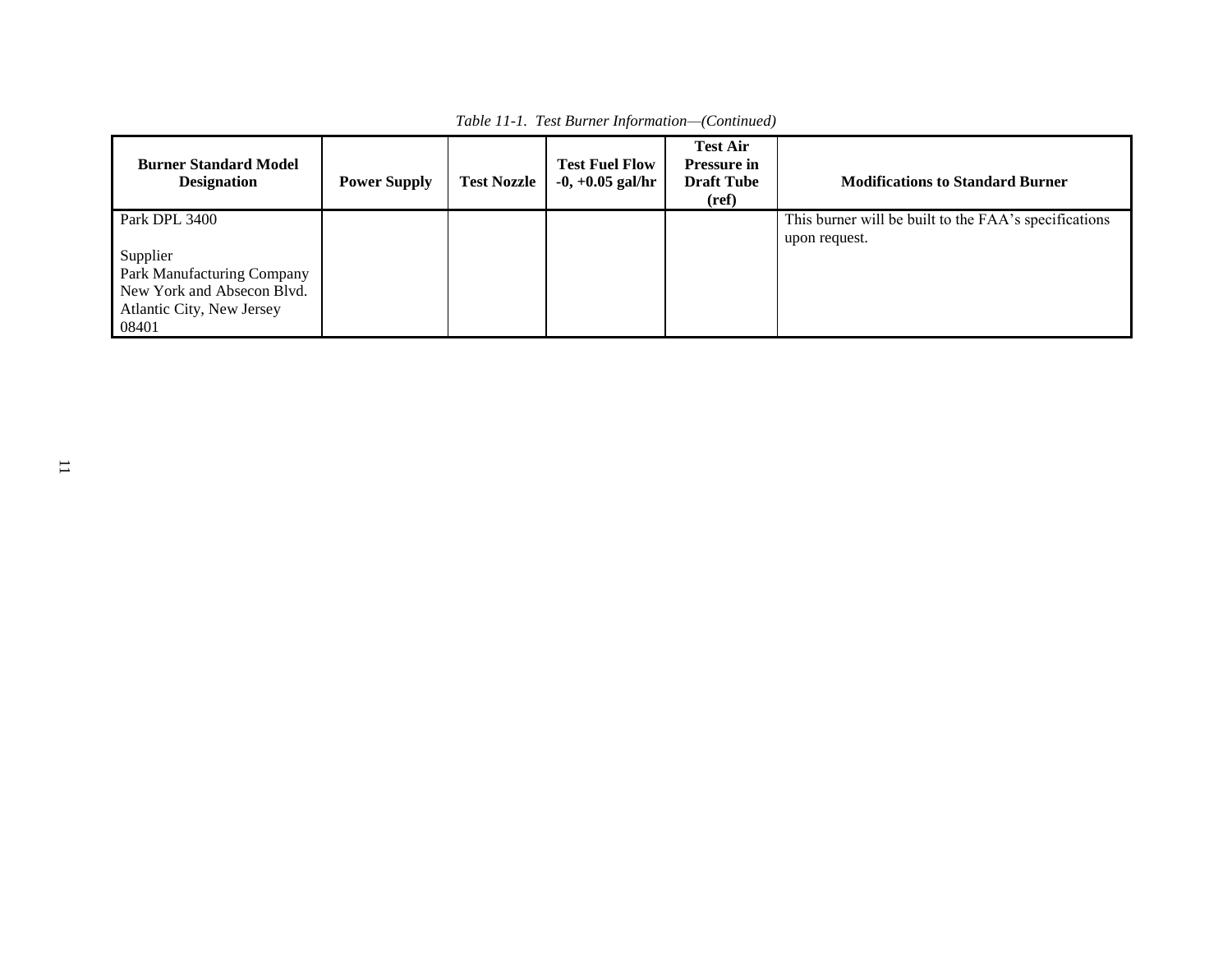| <b>Burner Standard Model</b><br><b>Designation</b>                                                                          | <b>Power Supply</b> | <b>Test Nozzle</b> | <b>Test Fuel Flow</b><br>$-0, +0.05$ gal/hr | <b>Test Air</b><br><b>Pressure in</b><br><b>Draft Tube</b><br>(ref) | <b>Modifications to Standard Burner</b>                                |
|-----------------------------------------------------------------------------------------------------------------------------|---------------------|--------------------|---------------------------------------------|---------------------------------------------------------------------|------------------------------------------------------------------------|
| Park DPL 3400<br>Supplier<br>Park Manufacturing Company<br>New York and Absecon Blvd.<br>Atlantic City, New Jersey<br>08401 |                     |                    |                                             |                                                                     | This burner will be built to the FAA's specifications<br>upon request. |

*Table 11-1. Test Burner Information—(Continued)*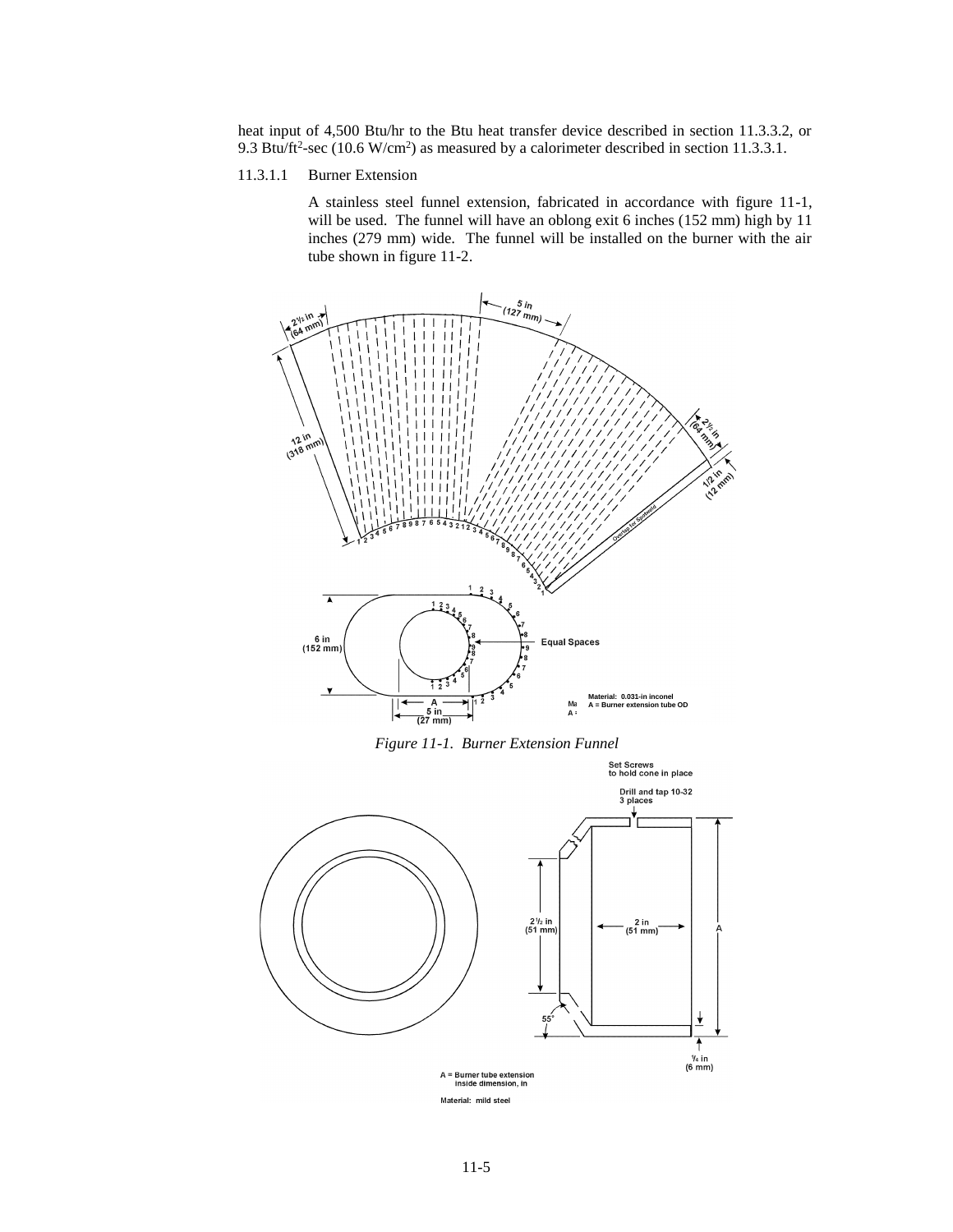heat input of 4,500 Btu/hr to the Btu heat transfer device described in section 11.3.3.2, or 9.3 Btu/ft<sup>2</sup>-sec (10.6 W/cm<sup>2</sup>) as measured by a calorimeter described in section 11.3.3.1.

11.3.1.1 Burner Extension

A stainless steel funnel extension, fabricated in accordance with figure 11-1, will be used. The funnel will have an oblong exit 6 inches (152 mm) high by 11 inches (279 mm) wide. The funnel will be installed on the burner with the air tube shown in figure 11-2.



*Figure 11-1. Burner Extension Funnel*

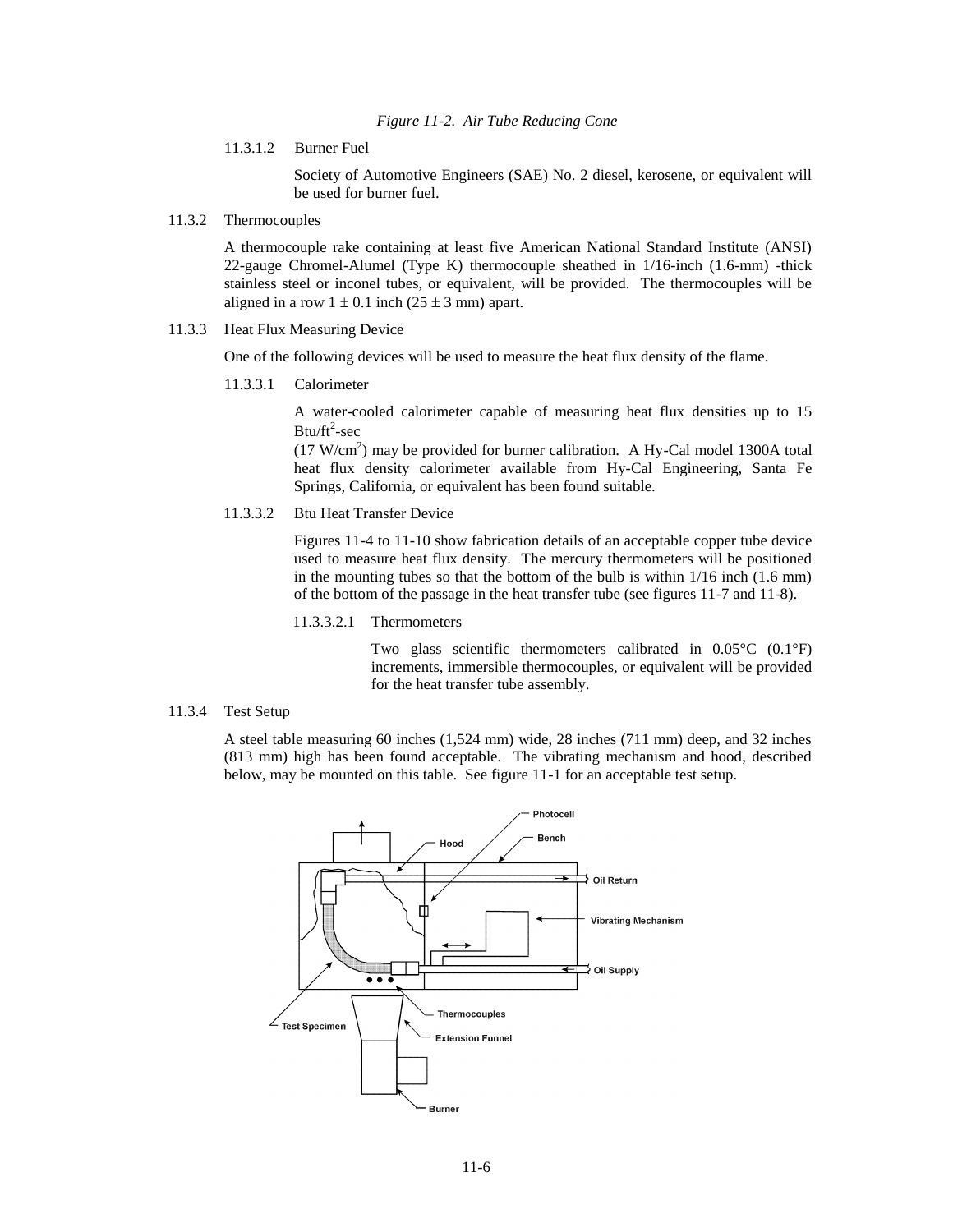11.3.1.2 Burner Fuel

Society of Automotive Engineers (SAE) No. 2 diesel, kerosene, or equivalent will be used for burner fuel.

11.3.2 Thermocouples

A thermocouple rake containing at least five American National Standard Institute (ANSI) 22-gauge Chromel-Alumel (Type K) thermocouple sheathed in 1/16-inch (1.6-mm) -thick stainless steel or inconel tubes, or equivalent, will be provided. The thermocouples will be aligned in a row  $1 \pm 0.1$  inch (25  $\pm$  3 mm) apart.

11.3.3 Heat Flux Measuring Device

One of the following devices will be used to measure the heat flux density of the flame.

11.3.3.1 Calorimeter

A water-cooled calorimeter capable of measuring heat flux densities up to 15  $B$ tu/ft<sup>2</sup>-sec

 $(17 \text{ W/cm}^2)$  may be provided for burner calibration. A Hy-Cal model 1300A total heat flux density calorimeter available from Hy-Cal Engineering, Santa Fe Springs, California, or equivalent has been found suitable.

11.3.3.2 Btu Heat Transfer Device

Figures 11-4 to 11-10 show fabrication details of an acceptable copper tube device used to measure heat flux density. The mercury thermometers will be positioned in the mounting tubes so that the bottom of the bulb is within 1/16 inch (1.6 mm) of the bottom of the passage in the heat transfer tube (see figures 11-7 and 11-8).

11.3.3.2.1 Thermometers

Two glass scientific thermometers calibrated in 0.05°C (0.1°F) increments, immersible thermocouples, or equivalent will be provided for the heat transfer tube assembly.

11.3.4 Test Setup

A steel table measuring 60 inches (1,524 mm) wide, 28 inches (711 mm) deep, and 32 inches (813 mm) high has been found acceptable. The vibrating mechanism and hood, described below, may be mounted on this table. See figure 11-1 for an acceptable test setup.

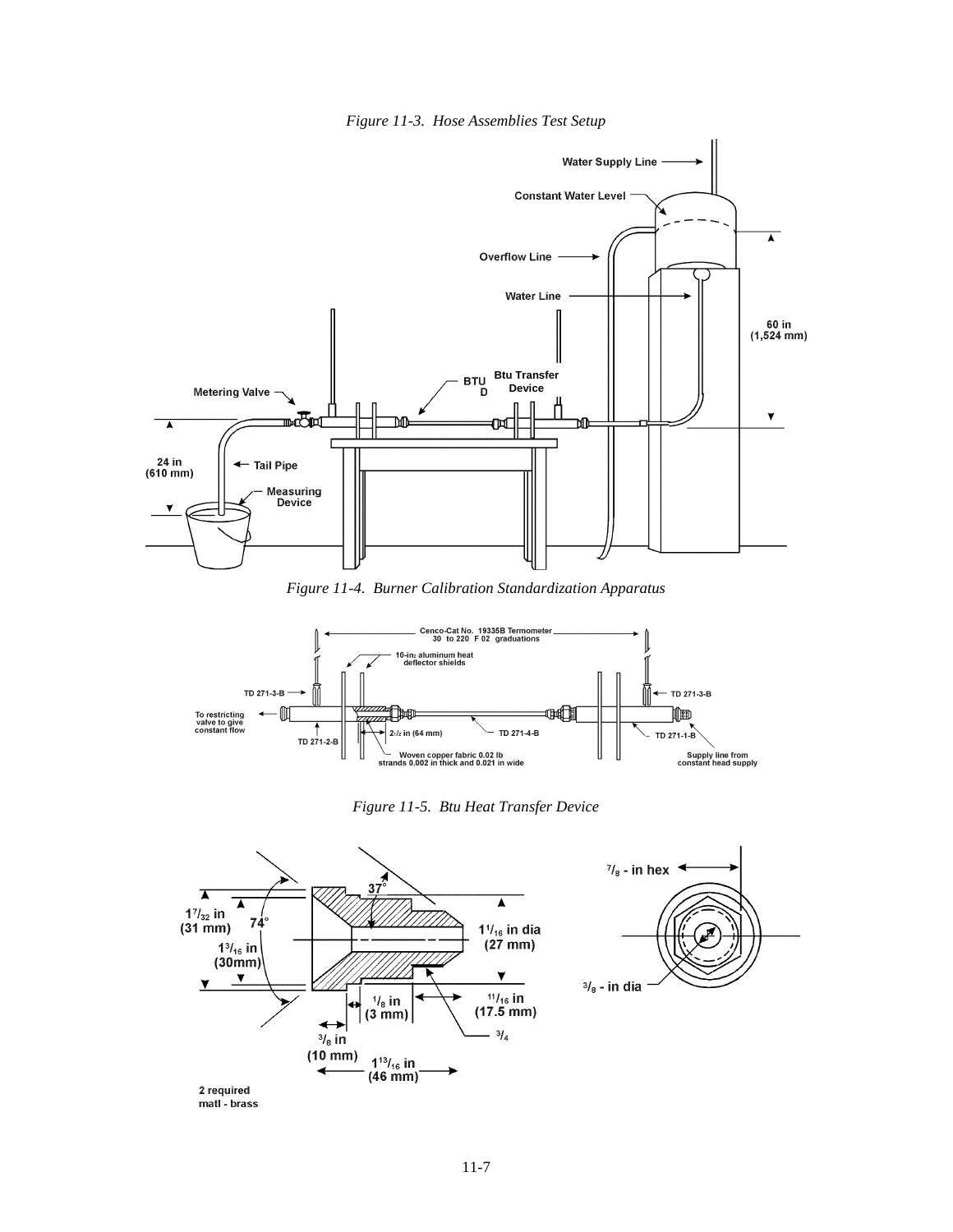



*Figure 11-4. Burner Calibration Standardization Apparatus*



*Figure 11-5. Btu Heat Transfer Device*



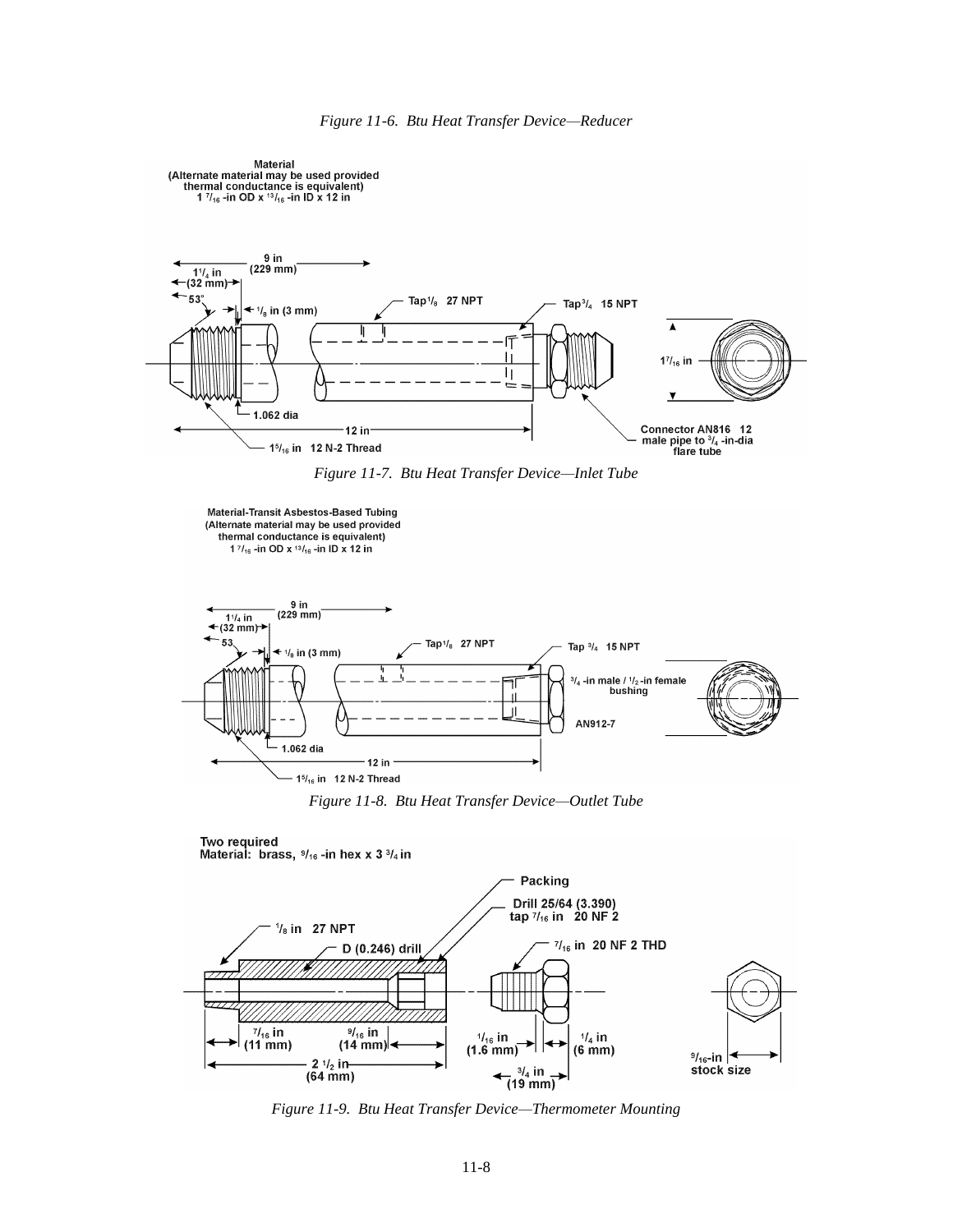

 $\leftarrow \frac{3/4 \text{ in}}{(19 \text{ mm})}$ *Figure 11-9. Btu Heat Transfer Device—Thermometer Mounting*

 $3/4$  in

2 $1/2$  in

 $(64 \text{ mm})$ 

 $\frac{9}{16}$ -in  $\leq$ 

stock size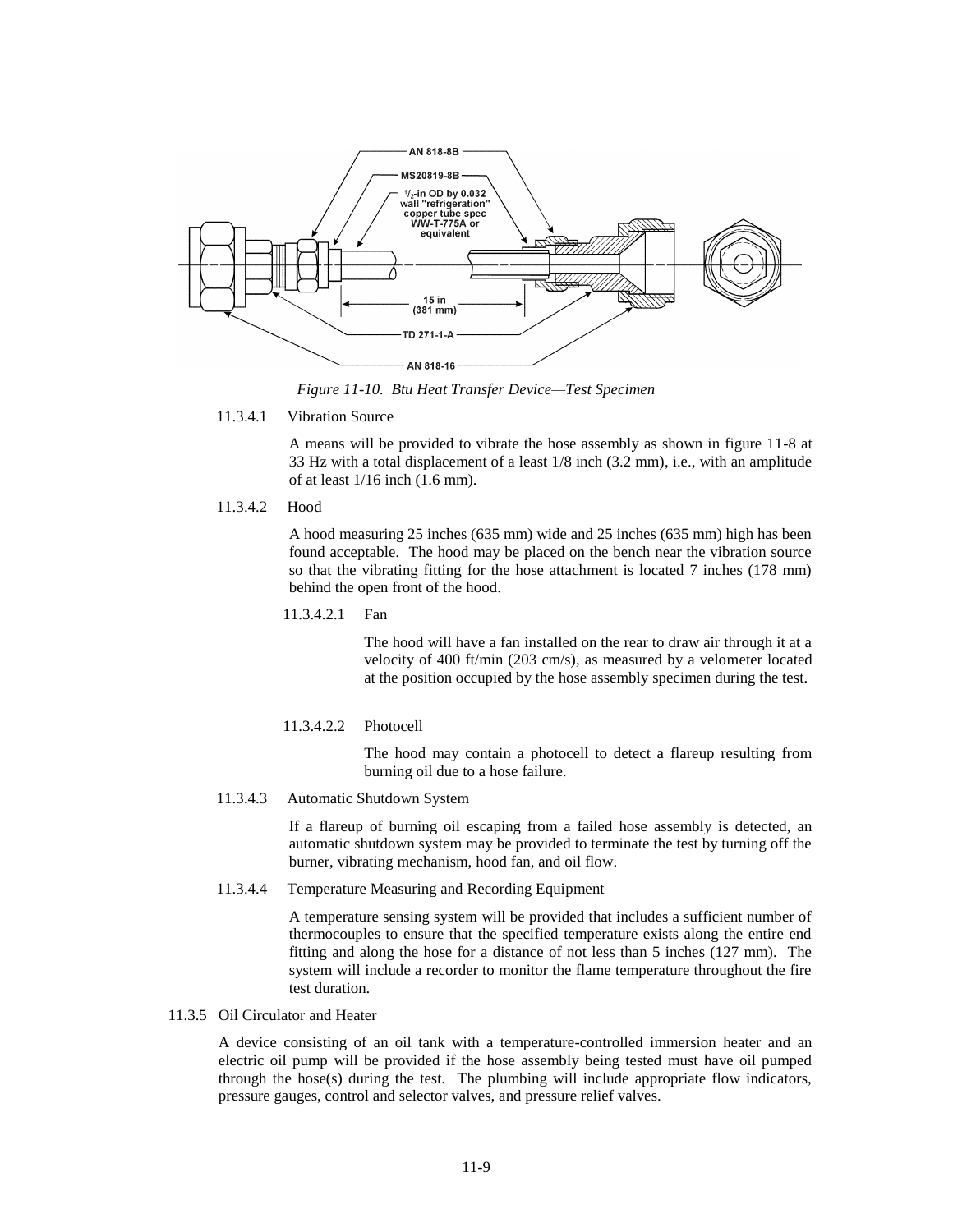

*Figure 11-10. Btu Heat Transfer Device—Test Specimen*

#### 11.3.4.1 Vibration Source

A means will be provided to vibrate the hose assembly as shown in figure 11-8 at 33 Hz with a total displacement of a least 1/8 inch (3.2 mm), i.e., with an amplitude of at least 1/16 inch (1.6 mm).

11.3.4.2 Hood

A hood measuring 25 inches (635 mm) wide and 25 inches (635 mm) high has been found acceptable. The hood may be placed on the bench near the vibration source so that the vibrating fitting for the hose attachment is located 7 inches (178 mm) behind the open front of the hood.

11.3.4.2.1 Fan

The hood will have a fan installed on the rear to draw air through it at a velocity of 400 ft/min (203 cm/s), as measured by a velometer located at the position occupied by the hose assembly specimen during the test.

11.3.4.2.2 Photocell

The hood may contain a photocell to detect a flareup resulting from burning oil due to a hose failure.

11.3.4.3 Automatic Shutdown System

If a flareup of burning oil escaping from a failed hose assembly is detected, an automatic shutdown system may be provided to terminate the test by turning off the burner, vibrating mechanism, hood fan, and oil flow.

11.3.4.4 Temperature Measuring and Recording Equipment

A temperature sensing system will be provided that includes a sufficient number of thermocouples to ensure that the specified temperature exists along the entire end fitting and along the hose for a distance of not less than 5 inches (127 mm). The system will include a recorder to monitor the flame temperature throughout the fire test duration.

#### 11.3.5 Oil Circulator and Heater

A device consisting of an oil tank with a temperature-controlled immersion heater and an electric oil pump will be provided if the hose assembly being tested must have oil pumped through the hose(s) during the test. The plumbing will include appropriate flow indicators, pressure gauges, control and selector valves, and pressure relief valves.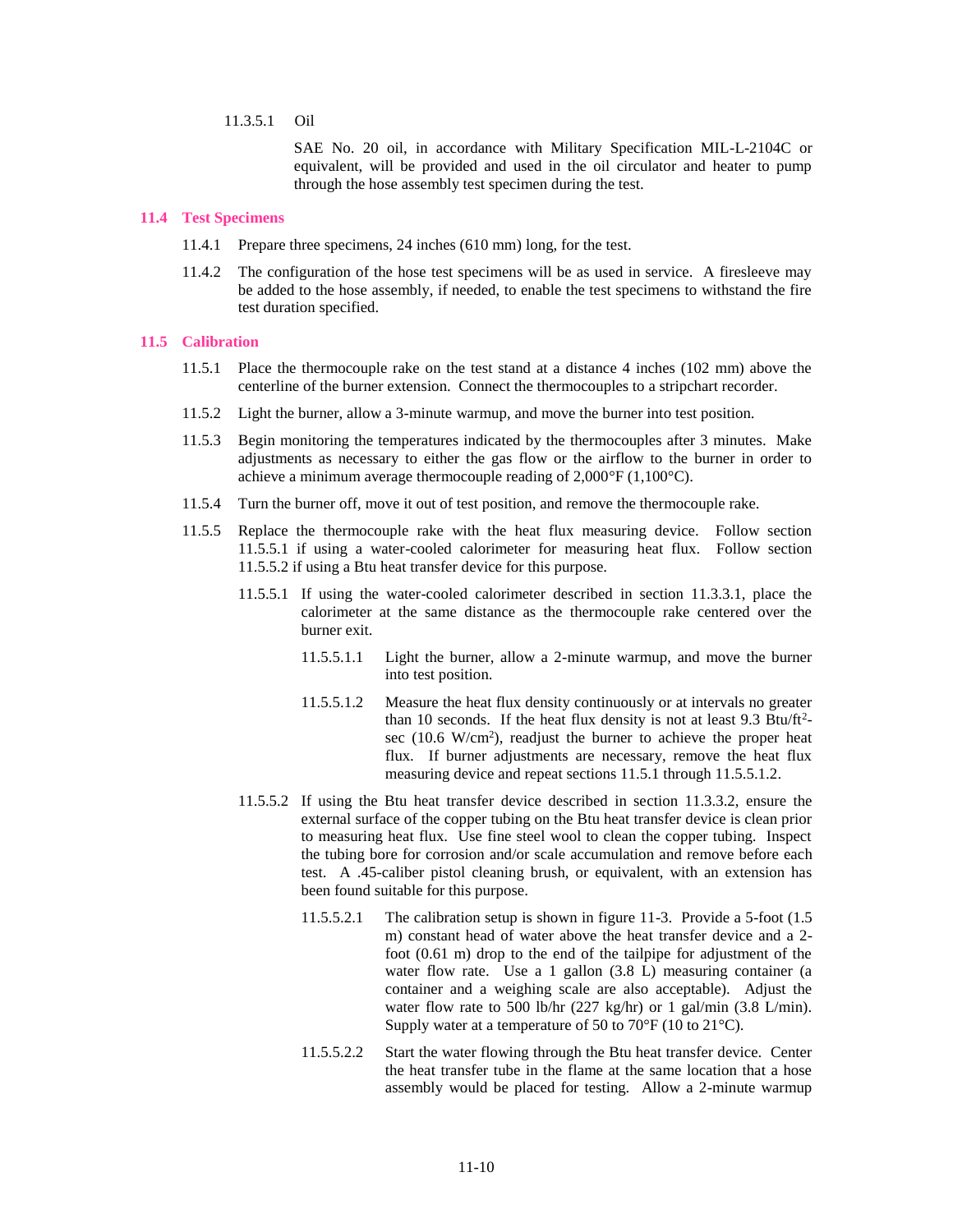## 11.3.5.1 Oil

SAE No. 20 oil, in accordance with Military Specification MIL-L-2104C or equivalent, will be provided and used in the oil circulator and heater to pump through the hose assembly test specimen during the test.

#### **11.4 Test Specimens**

- 11.4.1 Prepare three specimens, 24 inches (610 mm) long, for the test.
- 11.4.2 The configuration of the hose test specimens will be as used in service. A firesleeve may be added to the hose assembly, if needed, to enable the test specimens to withstand the fire test duration specified.

## **11.5 Calibration**

- 11.5.1 Place the thermocouple rake on the test stand at a distance 4 inches (102 mm) above the centerline of the burner extension. Connect the thermocouples to a stripchart recorder.
- 11.5.2 Light the burner, allow a 3-minute warmup, and move the burner into test position.
- 11.5.3 Begin monitoring the temperatures indicated by the thermocouples after 3 minutes. Make adjustments as necessary to either the gas flow or the airflow to the burner in order to achieve a minimum average thermocouple reading of 2,000°F (1,100°C).
- 11.5.4 Turn the burner off, move it out of test position, and remove the thermocouple rake.
- 11.5.5 Replace the thermocouple rake with the heat flux measuring device. Follow section 11.5.5.1 if using a water-cooled calorimeter for measuring heat flux. Follow section 11.5.5.2 if using a Btu heat transfer device for this purpose.
	- 11.5.5.1 If using the water-cooled calorimeter described in section 11.3.3.1, place the calorimeter at the same distance as the thermocouple rake centered over the burner exit.
		- 11.5.5.1.1 Light the burner, allow a 2-minute warmup, and move the burner into test position.
		- 11.5.5.1.2 Measure the heat flux density continuously or at intervals no greater than 10 seconds. If the heat flux density is not at least  $9.3 \text{ Btu/ft}^2$ sec  $(10.6 \text{ W/cm}^2)$ , readjust the burner to achieve the proper heat flux. If burner adjustments are necessary, remove the heat flux measuring device and repeat sections 11.5.1 through 11.5.5.1.2.
	- 11.5.5.2 If using the Btu heat transfer device described in section 11.3.3.2, ensure the external surface of the copper tubing on the Btu heat transfer device is clean prior to measuring heat flux. Use fine steel wool to clean the copper tubing. Inspect the tubing bore for corrosion and/or scale accumulation and remove before each test. A .45-caliber pistol cleaning brush, or equivalent, with an extension has been found suitable for this purpose.
		- 11.5.5.2.1 The calibration setup is shown in figure 11-3. Provide a 5-foot (1.5 m) constant head of water above the heat transfer device and a 2 foot (0.61 m) drop to the end of the tailpipe for adjustment of the water flow rate. Use a 1 gallon (3.8 L) measuring container (a container and a weighing scale are also acceptable). Adjust the water flow rate to 500 lb/hr (227 kg/hr) or 1 gal/min (3.8 L/min). Supply water at a temperature of 50 to 70°F (10 to 21°C).
		- 11.5.5.2.2 Start the water flowing through the Btu heat transfer device. Center the heat transfer tube in the flame at the same location that a hose assembly would be placed for testing. Allow a 2-minute warmup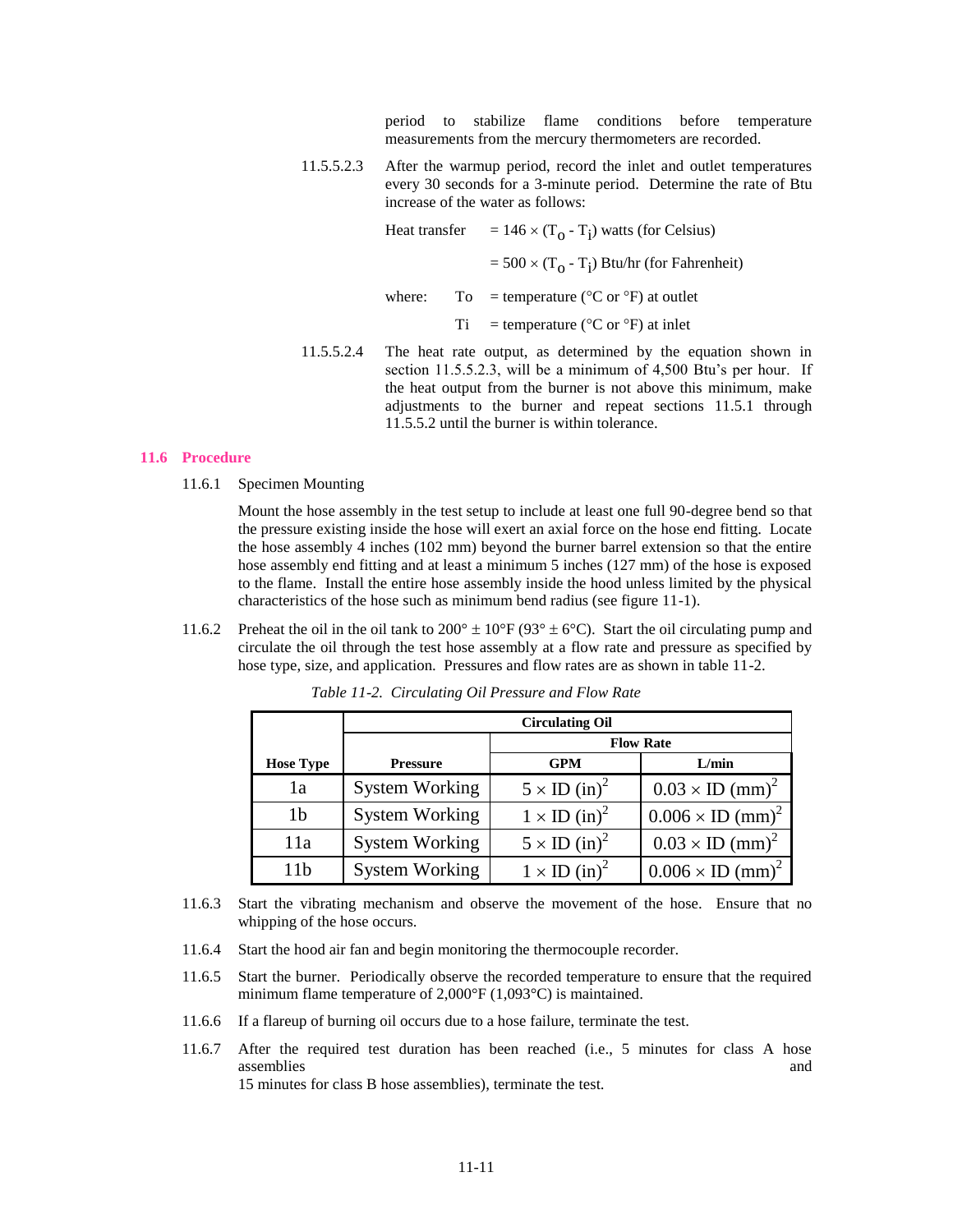period to stabilize flame conditions before temperature measurements from the mercury thermometers are recorded.

11.5.5.2.3 After the warmup period, record the inlet and outlet temperatures every 30 seconds for a 3-minute period. Determine the rate of Btu increase of the water as follows:

| Heat transfer |    | $= 146 \times (T_0 - T_i)$ watts (for Celsius)                 |  |
|---------------|----|----------------------------------------------------------------|--|
|               |    | $= 500 \times (T_0 - T_i)$ Btu/hr (for Fahrenheit)             |  |
| where:        |    | To = temperature ( ${}^{\circ}$ C or ${}^{\circ}$ F) at outlet |  |
|               | Ti | $=$ temperature ( $^{\circ}$ C or $^{\circ}$ F) at inlet       |  |
|               |    |                                                                |  |

11.5.5.2.4 The heat rate output, as determined by the equation shown in section 11.5.5.2.3, will be a minimum of 4,500 Btu's per hour. If the heat output from the burner is not above this minimum, make adjustments to the burner and repeat sections 11.5.1 through 11.5.5.2 until the burner is within tolerance.

#### **11.6 Procedure**

11.6.1 Specimen Mounting

Mount the hose assembly in the test setup to include at least one full 90-degree bend so that the pressure existing inside the hose will exert an axial force on the hose end fitting. Locate the hose assembly 4 inches (102 mm) beyond the burner barrel extension so that the entire hose assembly end fitting and at least a minimum 5 inches (127 mm) of the hose is exposed to the flame. Install the entire hose assembly inside the hood unless limited by the physical characteristics of the hose such as minimum bend radius (see figure 11-1).

11.6.2 Preheat the oil in the oil tank to  $200^{\circ} \pm 10^{\circ}F (93^{\circ} \pm 6^{\circ}C)$ . Start the oil circulating pump and circulate the oil through the test hose assembly at a flow rate and pressure as specified by hose type, size, and application. Pressures and flow rates are as shown in table 11-2.

|                  | <b>Circulating Oil</b> |                                 |                                    |  |  |  |
|------------------|------------------------|---------------------------------|------------------------------------|--|--|--|
|                  | <b>Flow Rate</b>       |                                 |                                    |  |  |  |
| <b>Hose Type</b> | <b>Pressure</b>        | <b>GPM</b>                      | L/min                              |  |  |  |
| 1a               | <b>System Working</b>  | $5 \times ID$ (in) <sup>2</sup> | $0.03 \times ID$ (mm) <sup>2</sup> |  |  |  |
| 1b               | <b>System Working</b>  | $1 \times ID$ (in) <sup>2</sup> | $0.006 \times ID (mm)^2$           |  |  |  |
| 11a              | <b>System Working</b>  | $5 \times ID$ (in) <sup>2</sup> | $0.03 \times ID$ (mm) <sup>2</sup> |  |  |  |
| 11 h             | <b>System Working</b>  | $1 \times ID$ (in) <sup>2</sup> | $0.006 \times ID (mm)^2$           |  |  |  |

*Table 11-2. Circulating Oil Pressure and Flow Rate*

- 11.6.3 Start the vibrating mechanism and observe the movement of the hose. Ensure that no whipping of the hose occurs.
- 11.6.4 Start the hood air fan and begin monitoring the thermocouple recorder.
- 11.6.5 Start the burner. Periodically observe the recorded temperature to ensure that the required minimum flame temperature of 2,000°F (1,093°C) is maintained.
- 11.6.6 If a flareup of burning oil occurs due to a hose failure, terminate the test.
- 11.6.7 After the required test duration has been reached (i.e., 5 minutes for class A hose assemblies and and a series and a series and a series and a series and a series and a series and a series and  $\alpha$ 15 minutes for class B hose assemblies), terminate the test.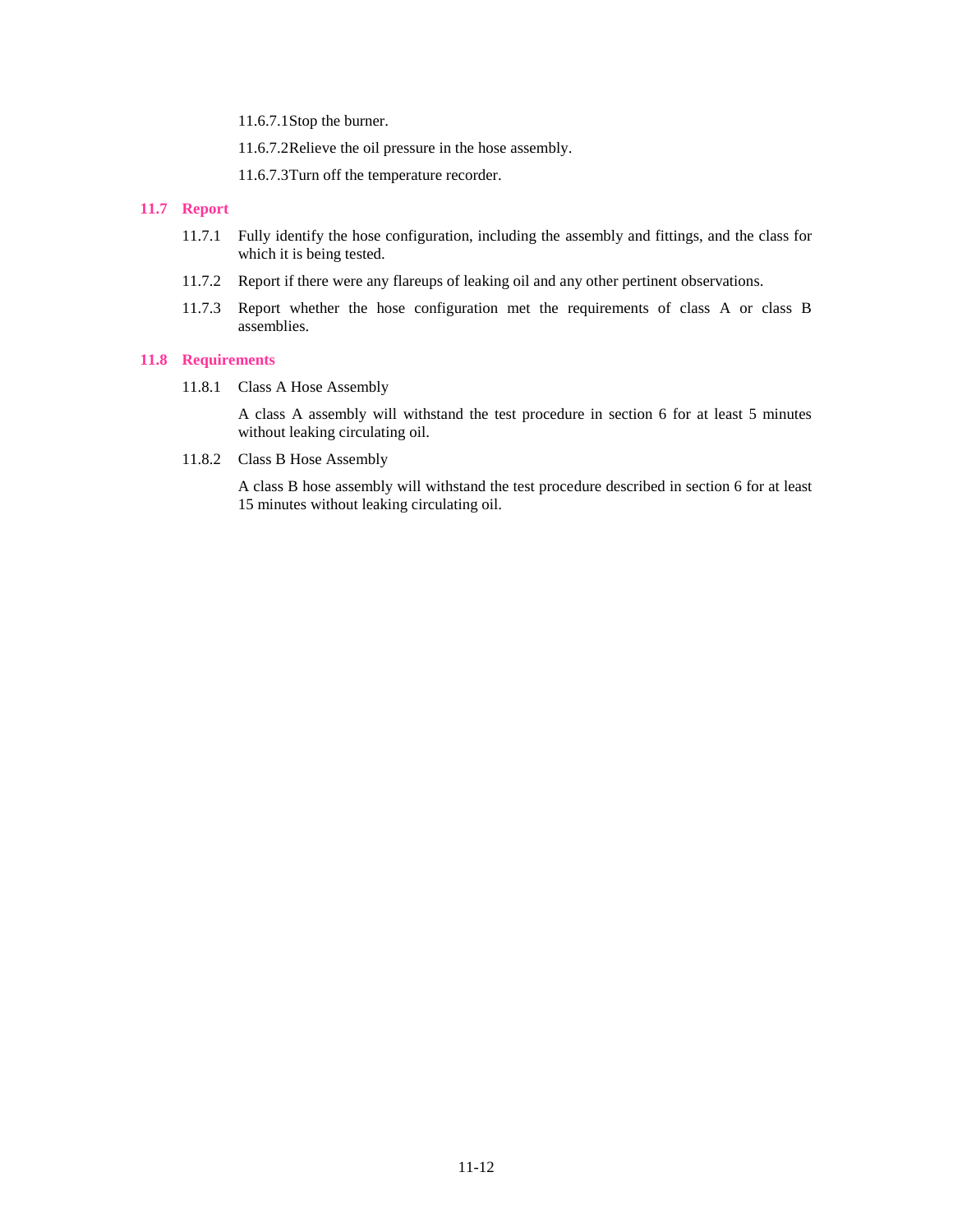11.6.7.1Stop the burner.

11.6.7.2Relieve the oil pressure in the hose assembly.

11.6.7.3Turn off the temperature recorder.

## **11.7 Report**

- 11.7.1 Fully identify the hose configuration, including the assembly and fittings, and the class for which it is being tested.
- 11.7.2 Report if there were any flareups of leaking oil and any other pertinent observations.
- 11.7.3 Report whether the hose configuration met the requirements of class A or class B assemblies.

## **11.8 Requirements**

11.8.1 Class A Hose Assembly

A class A assembly will withstand the test procedure in section 6 for at least 5 minutes without leaking circulating oil.

11.8.2 Class B Hose Assembly

A class B hose assembly will withstand the test procedure described in section 6 for at least 15 minutes without leaking circulating oil.